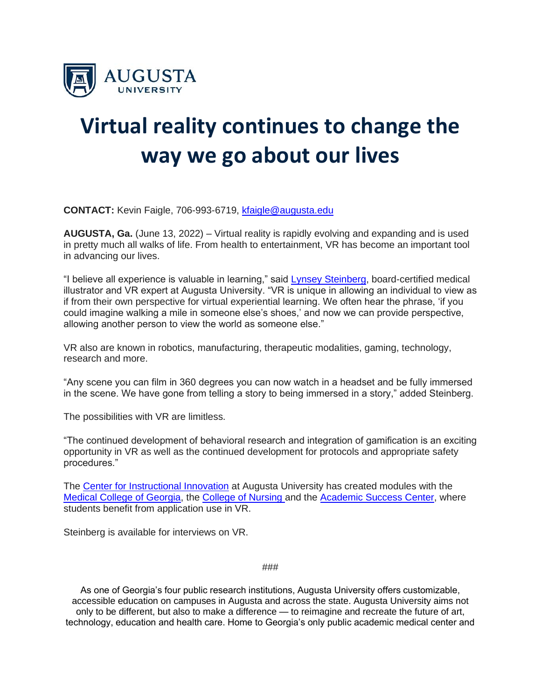

## **Virtual reality continues to change the way we go about our lives**

**CONTACT:** Kevin Faigle, 706-993-6719, [kfaigle@augusta.edu](mailto:kfaigle@augusta.edu)

**AUGUSTA, Ga.** (June 13, 2022) – Virtual reality is rapidly evolving and expanding and is used in pretty much all walks of life. From health to entertainment, VR has become an important tool in advancing our lives.

"I believe all experience is valuable in learning," said **Lynsey Steinberg**, board-certified medical illustrator and VR expert at Augusta University. "VR is unique in allowing an individual to view as if from their own perspective for virtual experiential learning. We often hear the phrase, 'if you could imagine walking a mile in someone else's shoes,' and now we can provide perspective, allowing another person to view the world as someone else."

VR also are known in robotics, manufacturing, therapeutic modalities, gaming, technology, research and more.

"Any scene you can film in 360 degrees you can now watch in a headset and be fully immersed in the scene. We have gone from telling a story to being immersed in a story," added Steinberg.

The possibilities with VR are limitless.

"The continued development of behavioral research and integration of gamification is an exciting opportunity in VR as well as the continued development for protocols and appropriate safety procedures."

The [Center for Instructional Innovation](https://u7061146.ct.sendgrid.net/ls/click?upn=4tNED-2FM8iDZJQyQ53jATUcjQN7zG8Sd9xmdZJwkufMjRefbXBPRZKQMUhFss94pD92Tc_eGIjsu2lTELDChcxrWIy7Xj-2BJR9cLt3WVNgz9L7qKlVxDiHh-2Fjn6Rl-2F9WwAKsKIShM-2FF-2B1sNvRvZK2aXQ1N6ZiJnKttDI5JSiQH1ww-2BYUtPyLpNdY-2FmXIrlrV6JEiqTVsBAXBtfyOwzuBEPAwy4RBRydshy6VX9eAafpWSzrL9ILiA-2FGCtx0B-2B6eipiZl0OTBma5LAFbQOpnlTeqMSmSDMY-2FkXp4-2BJgzsW5L9IfPfpitrlZft55bF9kvTw7rL2JMjpbcgDt0ou-2FnlNnqOzqT1QZbvdVL1LaaThshouJdsmzrRM14sddxtXUk-2Fh4ZkQEuCDP-2BX1iTyizzbp7UekAzxJYWC5JLDt-2F0Tqel4H43x4c-3D) at Augusta University has created modules with the [Medical College of Georgia,](https://u7061146.ct.sendgrid.net/ls/click?upn=4tNED-2FM8iDZJQyQ53jATUcjQN7zG8Sd9xmdZJwkufMhpBhptrjjX4REwnZpC5q9SQXHX_eGIjsu2lTELDChcxrWIy7Xj-2BJR9cLt3WVNgz9L7qKlVxDiHh-2Fjn6Rl-2F9WwAKsKIShM-2FF-2B1sNvRvZK2aXQ1N6ZiJnKttDI5JSiQH1ww-2BYUtPyLpNdY-2FmXIrlrV6JEiqTVsBAXBtfyOwzuBEPAwy4RBRydshy6VX9eAafpWSzrL9ILiA-2FGCtx0B-2B6eipiZl0OTJDrZdu4vkqLOswqXVUUUOnvJNhFsshIprydlZUAUnqoJvVn2WdI5Q-2FqBh7XkD1d0DCuIKjD6OlphxOvQCYFggHOmulX6g18M8bT1j9ikRwdfnG-2FHennhfpur-2FaRY-2FVwimWwipfB91zgY8N9ZWKqpVnlJMVGNuNTSivYz6S2UL90-3D) the [College of Nursing a](https://u7061146.ct.sendgrid.net/ls/click?upn=4tNED-2FM8iDZJQyQ53jATUcjQN7zG8Sd9xmdZJwkufMglO5Y0mko-2FENz2MPOoCW7-2FtGAU_eGIjsu2lTELDChcxrWIy7Xj-2BJR9cLt3WVNgz9L7qKlVxDiHh-2Fjn6Rl-2F9WwAKsKIShM-2FF-2B1sNvRvZK2aXQ1N6ZiJnKttDI5JSiQH1ww-2BYUtPyLpNdY-2FmXIrlrV6JEiqTVsBAXBtfyOwzuBEPAwy4RBRydshy6VX9eAafpWSzrL9ILiA-2FGCtx0B-2B6eipiZl0OT1kBQeScyX43Y5V5vFHD2vvfBSP-2Bo943dkqt8-2FCiohfW7CAvTk-2FOZAxdWkRN7y9dV9qqtQnXqKdSWPxg2fMJhd2wEE9vkInRD-2FfmusqaeZEsJetQMegKc1o3F45xWbkO9p1EYUHzhojUNFqwnnv6-2FdsX2PZvPeHSMTcP5dyUQHds-3D)nd the [Academic Success Center,](https://u7061146.ct.sendgrid.net/ls/click?upn=4tNED-2FM8iDZJQyQ53jATUcjQN7zG8Sd9xmdZJwkufMi1BBvNlWvLjkUNJ-2BLl9lRBkWz1IfcmYXXk3P9Mv9YLhw-3D-3DhFBm_eGIjsu2lTELDChcxrWIy7Xj-2BJR9cLt3WVNgz9L7qKlVxDiHh-2Fjn6Rl-2F9WwAKsKIShM-2FF-2B1sNvRvZK2aXQ1N6ZiJnKttDI5JSiQH1ww-2BYUtPyLpNdY-2FmXIrlrV6JEiqTVsBAXBtfyOwzuBEPAwy4RBRydshy6VX9eAafpWSzrL9ILiA-2FGCtx0B-2B6eipiZl0OTUzJ6JDQ1BraA7QvQSRAxRQc89szEtyv8xCQGouuELXi4YxfpNwhQfn1E7GNSxv8aSy4X4TRjyIwq1qfRszlhF22IRt29qRMGOImw2x2-2BJzD7PKxjGSJwfSC7NQJyHuuwdQKO3E8sHtvZcqnqJbFjiBdA42RklLDZkYBfIeJDYTw-3D) where students benefit from application use in VR.

Steinberg is available for interviews on VR.

###

As one of Georgia's four public research institutions, Augusta University offers customizable, accessible education on campuses in Augusta and across the state. Augusta University aims not only to be different, but also to make a difference — to reimagine and recreate the future of art, technology, education and health care. Home to Georgia's only public academic medical center and